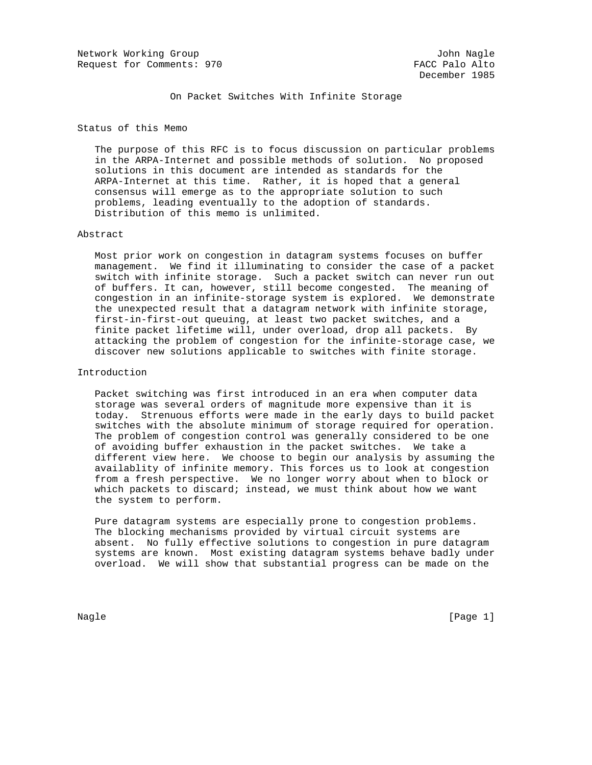Network Working Group John Nagle Request for Comments: 970 FACC Palo Alto

On Packet Switches With Infinite Storage

Status of this Memo

 The purpose of this RFC is to focus discussion on particular problems in the ARPA-Internet and possible methods of solution. No proposed solutions in this document are intended as standards for the ARPA-Internet at this time. Rather, it is hoped that a general consensus will emerge as to the appropriate solution to such problems, leading eventually to the adoption of standards. Distribution of this memo is unlimited.

#### Abstract

 Most prior work on congestion in datagram systems focuses on buffer management. We find it illuminating to consider the case of a packet switch with infinite storage. Such a packet switch can never run out of buffers. It can, however, still become congested. The meaning of congestion in an infinite-storage system is explored. We demonstrate the unexpected result that a datagram network with infinite storage, first-in-first-out queuing, at least two packet switches, and a finite packet lifetime will, under overload, drop all packets. By attacking the problem of congestion for the infinite-storage case, we discover new solutions applicable to switches with finite storage.

### Introduction

 Packet switching was first introduced in an era when computer data storage was several orders of magnitude more expensive than it is today. Strenuous efforts were made in the early days to build packet switches with the absolute minimum of storage required for operation. The problem of congestion control was generally considered to be one of avoiding buffer exhaustion in the packet switches. We take a different view here. We choose to begin our analysis by assuming the availablity of infinite memory. This forces us to look at congestion from a fresh perspective. We no longer worry about when to block or which packets to discard; instead, we must think about how we want the system to perform.

 Pure datagram systems are especially prone to congestion problems. The blocking mechanisms provided by virtual circuit systems are absent. No fully effective solutions to congestion in pure datagram systems are known. Most existing datagram systems behave badly under overload. We will show that substantial progress can be made on the

Nagle [Page 1]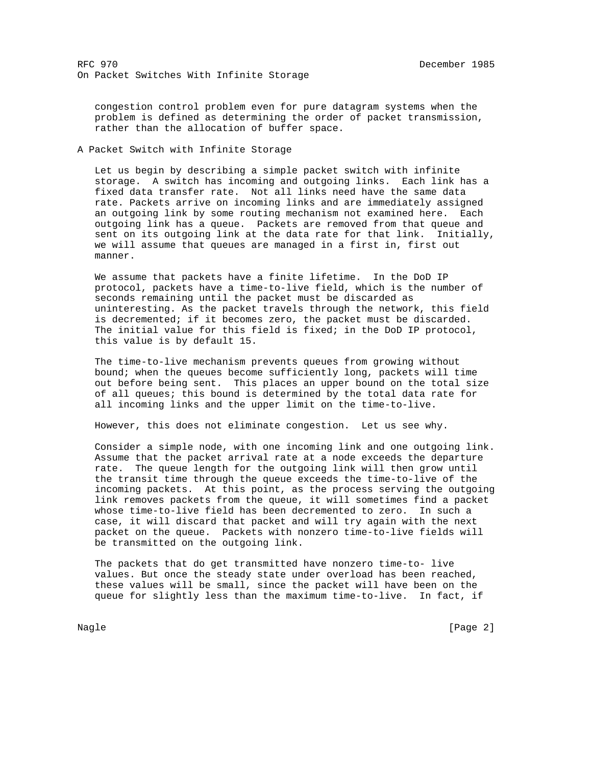congestion control problem even for pure datagram systems when the problem is defined as determining the order of packet transmission, rather than the allocation of buffer space.

### A Packet Switch with Infinite Storage

 Let us begin by describing a simple packet switch with infinite storage. A switch has incoming and outgoing links. Each link has a fixed data transfer rate. Not all links need have the same data rate. Packets arrive on incoming links and are immediately assigned an outgoing link by some routing mechanism not examined here. Each outgoing link has a queue. Packets are removed from that queue and sent on its outgoing link at the data rate for that link. Initially, we will assume that queues are managed in a first in, first out manner.

 We assume that packets have a finite lifetime. In the DoD IP protocol, packets have a time-to-live field, which is the number of seconds remaining until the packet must be discarded as uninteresting. As the packet travels through the network, this field is decremented; if it becomes zero, the packet must be discarded. The initial value for this field is fixed; in the DoD IP protocol, this value is by default 15.

 The time-to-live mechanism prevents queues from growing without bound; when the queues become sufficiently long, packets will time out before being sent. This places an upper bound on the total size of all queues; this bound is determined by the total data rate for all incoming links and the upper limit on the time-to-live.

However, this does not eliminate congestion. Let us see why.

 Consider a simple node, with one incoming link and one outgoing link. Assume that the packet arrival rate at a node exceeds the departure rate. The queue length for the outgoing link will then grow until the transit time through the queue exceeds the time-to-live of the incoming packets. At this point, as the process serving the outgoing link removes packets from the queue, it will sometimes find a packet whose time-to-live field has been decremented to zero. In such a case, it will discard that packet and will try again with the next packet on the queue. Packets with nonzero time-to-live fields will be transmitted on the outgoing link.

 The packets that do get transmitted have nonzero time-to- live values. But once the steady state under overload has been reached, these values will be small, since the packet will have been on the queue for slightly less than the maximum time-to-live. In fact, if

Nagle [Page 2] [Page 2] [Page 2] [Page 2] [Page 2] [Page 2] [Page 2] [Page 2] [Page 2] [Page 2] [Page 2] [Page 2] [Page 2] [Page 2] [Page 2] [Page 2] [Page 2] [Page 2] [Page 2] [Page 2] [Page 2] [Page 2] [Page 2] [Page 2]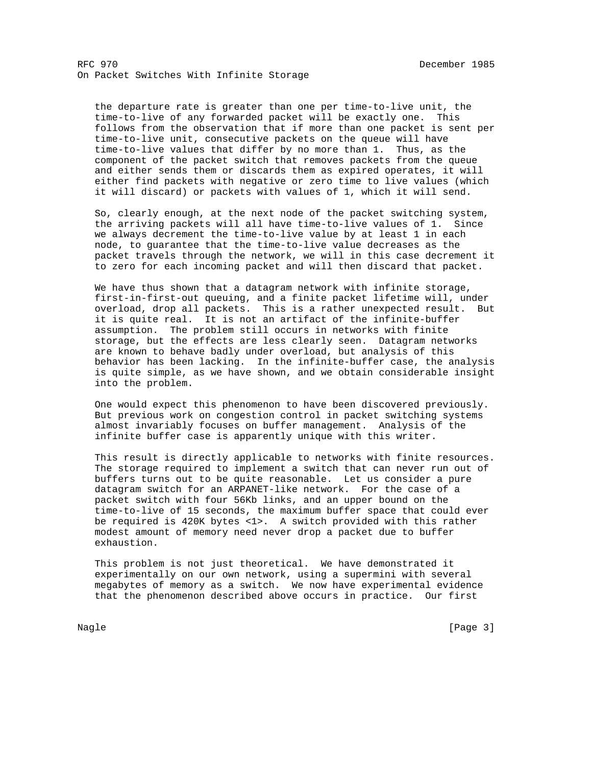the departure rate is greater than one per time-to-live unit, the time-to-live of any forwarded packet will be exactly one. This follows from the observation that if more than one packet is sent per time-to-live unit, consecutive packets on the queue will have time-to-live values that differ by no more than 1. Thus, as the component of the packet switch that removes packets from the queue and either sends them or discards them as expired operates, it will either find packets with negative or zero time to live values (which it will discard) or packets with values of 1, which it will send.

 So, clearly enough, at the next node of the packet switching system, the arriving packets will all have time-to-live values of 1. Since we always decrement the time-to-live value by at least 1 in each node, to guarantee that the time-to-live value decreases as the packet travels through the network, we will in this case decrement it to zero for each incoming packet and will then discard that packet.

 We have thus shown that a datagram network with infinite storage, first-in-first-out queuing, and a finite packet lifetime will, under overload, drop all packets. This is a rather unexpected result. But it is quite real. It is not an artifact of the infinite-buffer assumption. The problem still occurs in networks with finite storage, but the effects are less clearly seen. Datagram networks are known to behave badly under overload, but analysis of this behavior has been lacking. In the infinite-buffer case, the analysis is quite simple, as we have shown, and we obtain considerable insight into the problem.

 One would expect this phenomenon to have been discovered previously. But previous work on congestion control in packet switching systems almost invariably focuses on buffer management. Analysis of the infinite buffer case is apparently unique with this writer.

 This result is directly applicable to networks with finite resources. The storage required to implement a switch that can never run out of buffers turns out to be quite reasonable. Let us consider a pure datagram switch for an ARPANET-like network. For the case of a packet switch with four 56Kb links, and an upper bound on the time-to-live of 15 seconds, the maximum buffer space that could ever be required is 420K bytes <1>. A switch provided with this rather modest amount of memory need never drop a packet due to buffer exhaustion.

 This problem is not just theoretical. We have demonstrated it experimentally on our own network, using a supermini with several megabytes of memory as a switch. We now have experimental evidence that the phenomenon described above occurs in practice. Our first

Nagle [Page 3]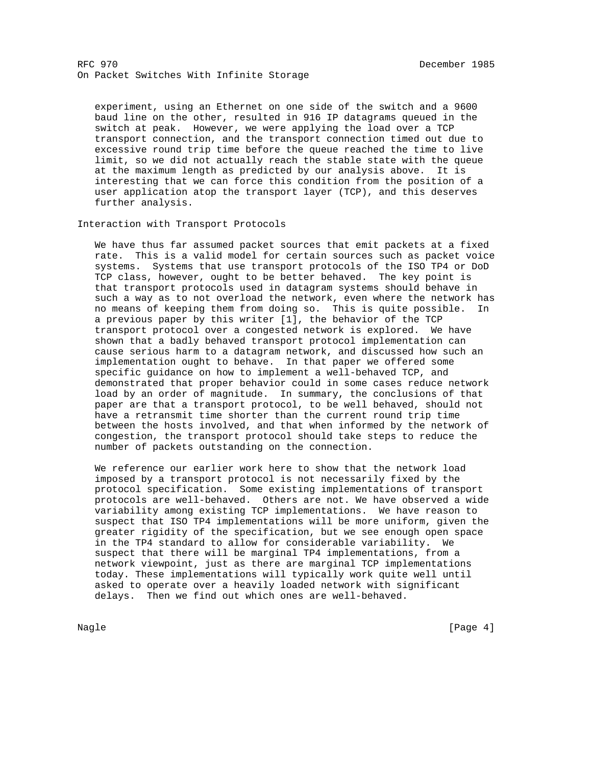experiment, using an Ethernet on one side of the switch and a 9600 baud line on the other, resulted in 916 IP datagrams queued in the switch at peak. However, we were applying the load over a TCP transport connection, and the transport connection timed out due to excessive round trip time before the queue reached the time to live limit, so we did not actually reach the stable state with the queue at the maximum length as predicted by our analysis above. It is interesting that we can force this condition from the position of a user application atop the transport layer (TCP), and this deserves further analysis.

Interaction with Transport Protocols

 We have thus far assumed packet sources that emit packets at a fixed rate. This is a valid model for certain sources such as packet voice systems. Systems that use transport protocols of the ISO TP4 or DoD TCP class, however, ought to be better behaved. The key point is that transport protocols used in datagram systems should behave in such a way as to not overload the network, even where the network has no means of keeping them from doing so. This is quite possible. In a previous paper by this writer [1], the behavior of the TCP transport protocol over a congested network is explored. We have shown that a badly behaved transport protocol implementation can cause serious harm to a datagram network, and discussed how such an implementation ought to behave. In that paper we offered some specific guidance on how to implement a well-behaved TCP, and demonstrated that proper behavior could in some cases reduce network load by an order of magnitude. In summary, the conclusions of that paper are that a transport protocol, to be well behaved, should not have a retransmit time shorter than the current round trip time between the hosts involved, and that when informed by the network of congestion, the transport protocol should take steps to reduce the number of packets outstanding on the connection.

 We reference our earlier work here to show that the network load imposed by a transport protocol is not necessarily fixed by the protocol specification. Some existing implementations of transport protocols are well-behaved. Others are not. We have observed a wide variability among existing TCP implementations. We have reason to suspect that ISO TP4 implementations will be more uniform, given the greater rigidity of the specification, but we see enough open space in the TP4 standard to allow for considerable variability. We suspect that there will be marginal TP4 implementations, from a network viewpoint, just as there are marginal TCP implementations today. These implementations will typically work quite well until asked to operate over a heavily loaded network with significant delays. Then we find out which ones are well-behaved.

Nagle [Page 4] [Page 4] [Page 4] [Page 4] [Page 4] [Page 4] [Page 4] [Page 4] [Page 4] [Page 4] [Page 4] [Page 4] [Page 4] [Page 4] [Page 4] [Page 4] [Page 4] [Page 4] [Page 4] [Page 4] [Page 4] [Page 4] [Page 4] [Page 4]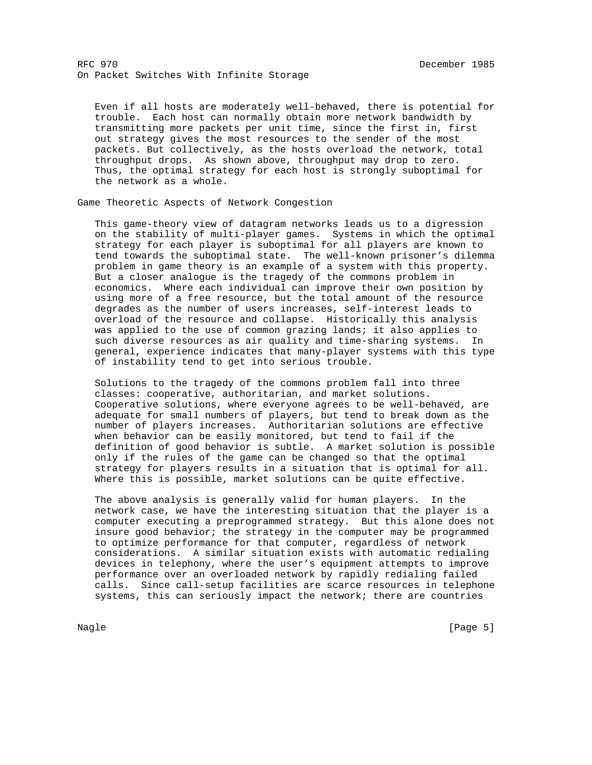Even if all hosts are moderately well-behaved, there is potential for trouble. Each host can normally obtain more network bandwidth by transmitting more packets per unit time, since the first in, first out strategy gives the most resources to the sender of the most packets. But collectively, as the hosts overload the network, total throughput drops. As shown above, throughput may drop to zero. Thus, the optimal strategy for each host is strongly suboptimal for the network as a whole.

Game Theoretic Aspects of Network Congestion

 This game-theory view of datagram networks leads us to a digression on the stability of multi-player games. Systems in which the optimal strategy for each player is suboptimal for all players are known to tend towards the suboptimal state. The well-known prisoner's dilemma problem in game theory is an example of a system with this property. But a closer analogue is the tragedy of the commons problem in economics. Where each individual can improve their own position by using more of a free resource, but the total amount of the resource degrades as the number of users increases, self-interest leads to overload of the resource and collapse. Historically this analysis was applied to the use of common grazing lands; it also applies to such diverse resources as air quality and time-sharing systems. In general, experience indicates that many-player systems with this type of instability tend to get into serious trouble.

 Solutions to the tragedy of the commons problem fall into three classes: cooperative, authoritarian, and market solutions. Cooperative solutions, where everyone agrees to be well-behaved, are adequate for small numbers of players, but tend to break down as the number of players increases. Authoritarian solutions are effective when behavior can be easily monitored, but tend to fail if the definition of good behavior is subtle. A market solution is possible only if the rules of the game can be changed so that the optimal strategy for players results in a situation that is optimal for all. Where this is possible, market solutions can be quite effective.

 The above analysis is generally valid for human players. In the network case, we have the interesting situation that the player is a computer executing a preprogrammed strategy. But this alone does not insure good behavior; the strategy in the computer may be programmed to optimize performance for that computer, regardless of network considerations. A similar situation exists with automatic redialing devices in telephony, where the user's equipment attempts to improve performance over an overloaded network by rapidly redialing failed calls. Since call-setup facilities are scarce resources in telephone systems, this can seriously impact the network; there are countries

Nagle [Page 5] [Page 5]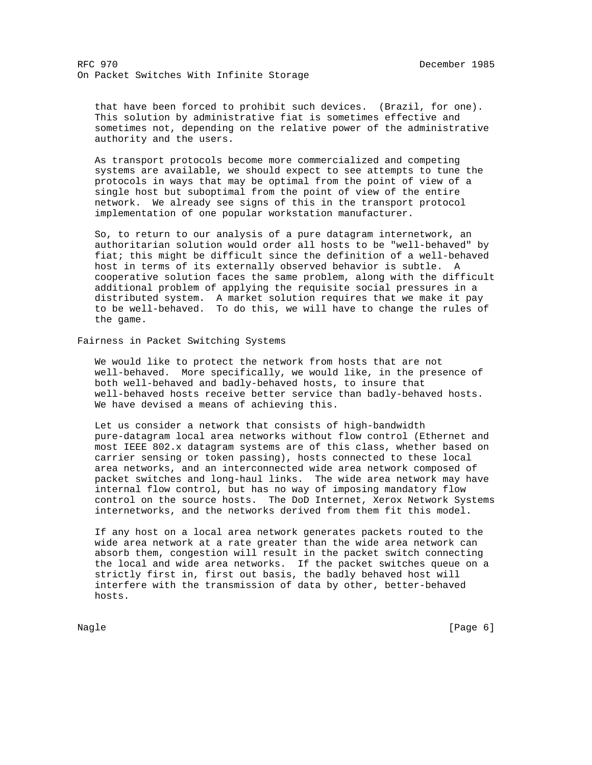that have been forced to prohibit such devices. (Brazil, for one). This solution by administrative fiat is sometimes effective and sometimes not, depending on the relative power of the administrative authority and the users.

 As transport protocols become more commercialized and competing systems are available, we should expect to see attempts to tune the protocols in ways that may be optimal from the point of view of a single host but suboptimal from the point of view of the entire network. We already see signs of this in the transport protocol implementation of one popular workstation manufacturer.

 So, to return to our analysis of a pure datagram internetwork, an authoritarian solution would order all hosts to be "well-behaved" by fiat; this might be difficult since the definition of a well-behaved host in terms of its externally observed behavior is subtle. A cooperative solution faces the same problem, along with the difficult additional problem of applying the requisite social pressures in a distributed system. A market solution requires that we make it pay to be well-behaved. To do this, we will have to change the rules of the game.

Fairness in Packet Switching Systems

 We would like to protect the network from hosts that are not well-behaved. More specifically, we would like, in the presence of both well-behaved and badly-behaved hosts, to insure that well-behaved hosts receive better service than badly-behaved hosts. We have devised a means of achieving this.

 Let us consider a network that consists of high-bandwidth pure-datagram local area networks without flow control (Ethernet and most IEEE 802.x datagram systems are of this class, whether based on carrier sensing or token passing), hosts connected to these local area networks, and an interconnected wide area network composed of packet switches and long-haul links. The wide area network may have internal flow control, but has no way of imposing mandatory flow control on the source hosts. The DoD Internet, Xerox Network Systems internetworks, and the networks derived from them fit this model.

 If any host on a local area network generates packets routed to the wide area network at a rate greater than the wide area network can absorb them, congestion will result in the packet switch connecting the local and wide area networks. If the packet switches queue on a strictly first in, first out basis, the badly behaved host will interfere with the transmission of data by other, better-behaved hosts.

Nagle [Page 6] [Page 6] [Page 6] [Page 6] [Page 6] [Page 6] [Page 6] [Page 6] [Page 6] [Page 6] [Page 6] [Page 6] [Page 6] [Page 6] [Page 6] [Page 6] [Page 6] [Page 6] [Page 6] [Page 6] [Page 6] [Page 6] [Page 6] [Page 6]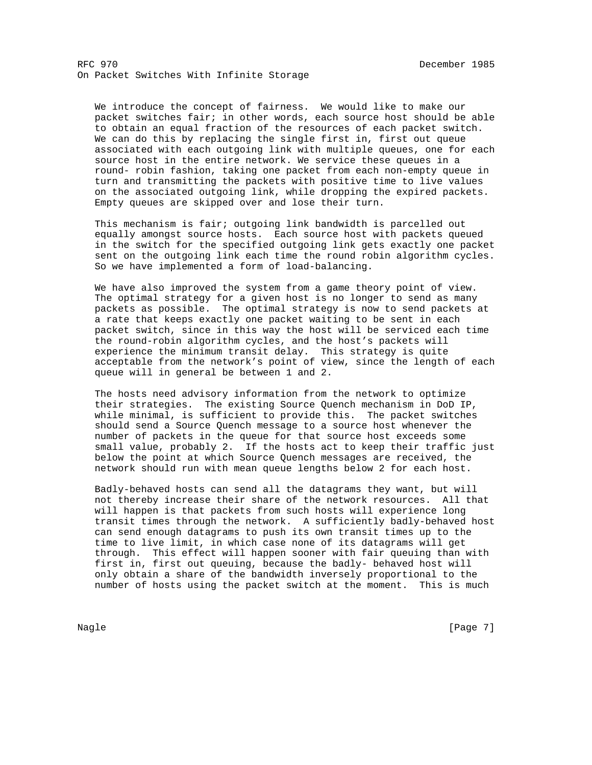We introduce the concept of fairness. We would like to make our packet switches fair; in other words, each source host should be able to obtain an equal fraction of the resources of each packet switch. We can do this by replacing the single first in, first out queue associated with each outgoing link with multiple queues, one for each source host in the entire network. We service these queues in a round- robin fashion, taking one packet from each non-empty queue in turn and transmitting the packets with positive time to live values on the associated outgoing link, while dropping the expired packets. Empty queues are skipped over and lose their turn.

 This mechanism is fair; outgoing link bandwidth is parcelled out equally amongst source hosts. Each source host with packets queued in the switch for the specified outgoing link gets exactly one packet sent on the outgoing link each time the round robin algorithm cycles. So we have implemented a form of load-balancing.

 We have also improved the system from a game theory point of view. The optimal strategy for a given host is no longer to send as many packets as possible. The optimal strategy is now to send packets at a rate that keeps exactly one packet waiting to be sent in each packet switch, since in this way the host will be serviced each time the round-robin algorithm cycles, and the host's packets will experience the minimum transit delay. This strategy is quite acceptable from the network's point of view, since the length of each queue will in general be between 1 and 2.

 The hosts need advisory information from the network to optimize their strategies. The existing Source Quench mechanism in DoD IP, while minimal, is sufficient to provide this. The packet switches should send a Source Quench message to a source host whenever the number of packets in the queue for that source host exceeds some small value, probably 2. If the hosts act to keep their traffic just below the point at which Source Quench messages are received, the network should run with mean queue lengths below 2 for each host.

 Badly-behaved hosts can send all the datagrams they want, but will not thereby increase their share of the network resources. All that will happen is that packets from such hosts will experience long transit times through the network. A sufficiently badly-behaved host can send enough datagrams to push its own transit times up to the time to live limit, in which case none of its datagrams will get through. This effect will happen sooner with fair queuing than with first in, first out queuing, because the badly- behaved host will only obtain a share of the bandwidth inversely proportional to the number of hosts using the packet switch at the moment. This is much

Nagle [Page 7] [Page 7] [Page 7] [Page 7] [Page 7] [Page 7] [Page 7] [Page 7] [Page 7] [Page 7] [Page 7] [Page 7] [Page 7] [Page 7] [Page 7] [Page 7] [Page 7] [Page 7] [Page 7] [Page 7] [Page 7] [Page 7] [Page 7] [Page 7]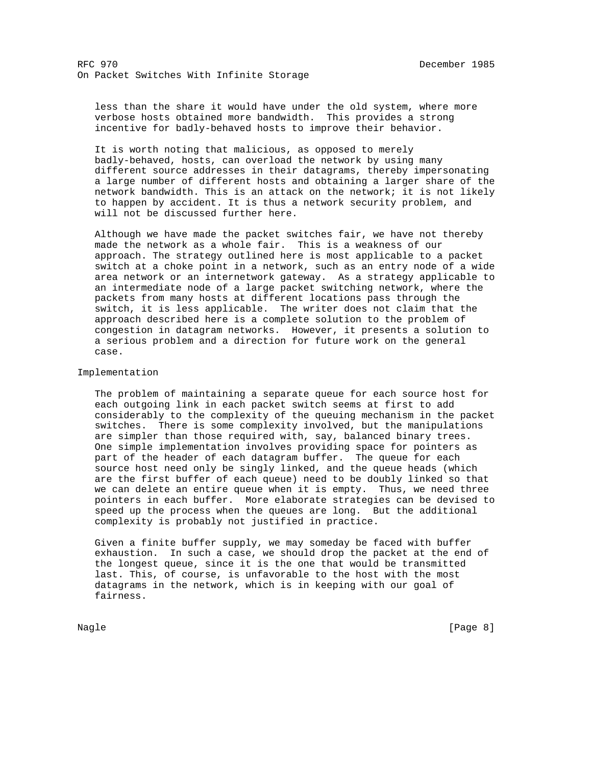less than the share it would have under the old system, where more verbose hosts obtained more bandwidth. This provides a strong incentive for badly-behaved hosts to improve their behavior.

 It is worth noting that malicious, as opposed to merely badly-behaved, hosts, can overload the network by using many different source addresses in their datagrams, thereby impersonating a large number of different hosts and obtaining a larger share of the network bandwidth. This is an attack on the network; it is not likely to happen by accident. It is thus a network security problem, and will not be discussed further here.

 Although we have made the packet switches fair, we have not thereby made the network as a whole fair. This is a weakness of our approach. The strategy outlined here is most applicable to a packet switch at a choke point in a network, such as an entry node of a wide area network or an internetwork gateway. As a strategy applicable to an intermediate node of a large packet switching network, where the packets from many hosts at different locations pass through the switch, it is less applicable. The writer does not claim that the approach described here is a complete solution to the problem of congestion in datagram networks. However, it presents a solution to a serious problem and a direction for future work on the general case.

## Implementation

 The problem of maintaining a separate queue for each source host for each outgoing link in each packet switch seems at first to add considerably to the complexity of the queuing mechanism in the packet switches. There is some complexity involved, but the manipulations are simpler than those required with, say, balanced binary trees. One simple implementation involves providing space for pointers as part of the header of each datagram buffer. The queue for each source host need only be singly linked, and the queue heads (which are the first buffer of each queue) need to be doubly linked so that we can delete an entire queue when it is empty. Thus, we need three pointers in each buffer. More elaborate strategies can be devised to speed up the process when the queues are long. But the additional complexity is probably not justified in practice.

 Given a finite buffer supply, we may someday be faced with buffer exhaustion. In such a case, we should drop the packet at the end of the longest queue, since it is the one that would be transmitted last. This, of course, is unfavorable to the host with the most datagrams in the network, which is in keeping with our goal of fairness.

Nagle [Page 8] [Page 8]